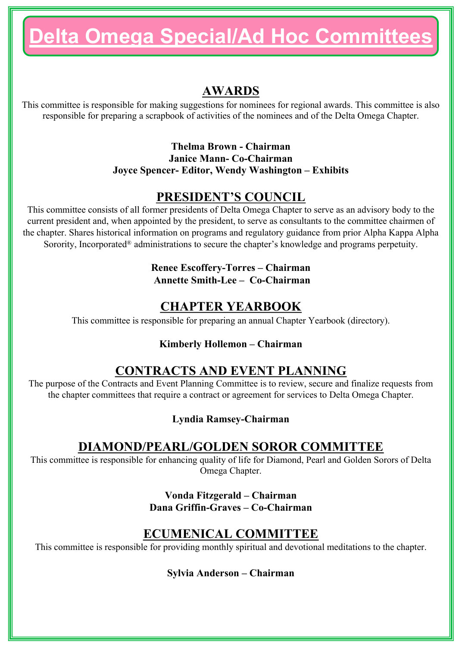# **Delta Omega Special/Ad Hoc Committees**

# **AWARDS**

This committee is responsible for making suggestions for nominees for regional awards. This committee is also responsible for preparing a scrapbook of activities of the nominees and of the Delta Omega Chapter.

> **Thelma Brown - Chairman Janice Mann- Co-Chairman Joyce Spencer- Editor, Wendy Washington – Exhibits**

## **PRESIDENT'S COUNCIL**

This committee consists of all former presidents of Delta Omega Chapter to serve as an advisory body to the current president and, when appointed by the president, to serve as consultants to the committee chairmen of the chapter. Shares historical information on programs and regulatory guidance from prior Alpha Kappa Alpha Sorority, Incorporated<sup>®</sup> administrations to secure the chapter's knowledge and programs perpetuity.

#### **Renee Escoffery-Torres – Chairman Annette Smith-Lee – Co-Chairman**

## **CHAPTER YEARBOOK**

This committee is responsible for preparing an annual Chapter Yearbook (directory).

#### **Kimberly Hollemon – Chairman**

# **CONTRACTS AND EVENT PLANNING**

The purpose of the Contracts and Event Planning Committee is to review, secure and finalize requests from the chapter committees that require a contract or agreement for services to Delta Omega Chapter.

#### **Lyndia Ramsey-Chairman**

## **DIAMOND/PEARL/GOLDEN SOROR COMMITTEE**

This committee is responsible for enhancing quality of life for Diamond, Pearl and Golden Sorors of Delta Omega Chapter.

> **Vonda Fitzgerald – Chairman Dana Griffin-Graves – Co-Chairman**

## **ECUMENICAL COMMITTEE**

This committee is responsible for providing monthly spiritual and devotional meditations to the chapter.

**Sylvia Anderson – Chairman**